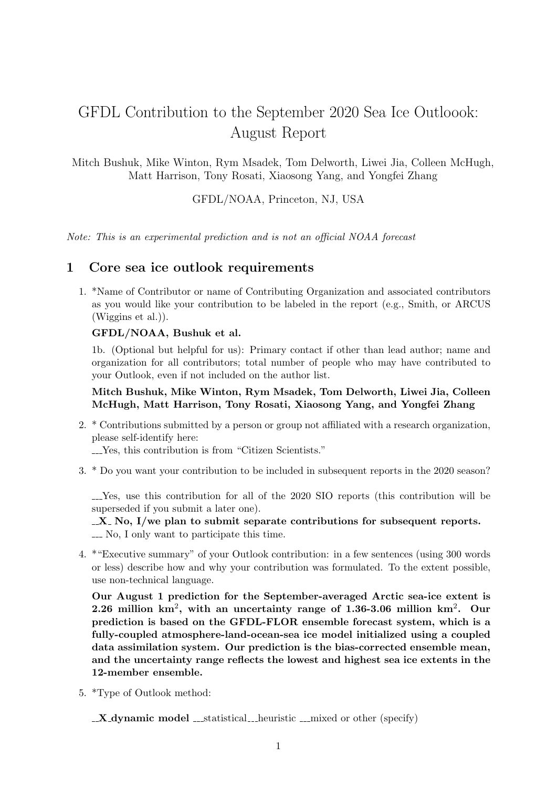# GFDL Contribution to the September 2020 Sea Ice Outloook: August Report

Mitch Bushuk, Mike Winton, Rym Msadek, Tom Delworth, Liwei Jia, Colleen McHugh, Matt Harrison, Tony Rosati, Xiaosong Yang, and Yongfei Zhang

GFDL/NOAA, Princeton, NJ, USA

Note: This is an experimental prediction and is not an official NOAA forecast

## 1 Core sea ice outlook requirements

1. \*Name of Contributor or name of Contributing Organization and associated contributors as you would like your contribution to be labeled in the report (e.g., Smith, or ARCUS (Wiggins et al.)).

#### GFDL/NOAA, Bushuk et al.

1b. (Optional but helpful for us): Primary contact if other than lead author; name and organization for all contributors; total number of people who may have contributed to your Outlook, even if not included on the author list.

#### Mitch Bushuk, Mike Winton, Rym Msadek, Tom Delworth, Liwei Jia, Colleen McHugh, Matt Harrison, Tony Rosati, Xiaosong Yang, and Yongfei Zhang

2. \* Contributions submitted by a person or group not affiliated with a research organization, please self-identify here:

Yes, this contribution is from "Citizen Scientists."

3. \* Do you want your contribution to be included in subsequent reports in the 2020 season?

Yes, use this contribution for all of the 2020 SIO reports (this contribution will be superseded if you submit a later one).

 $\mathbb{X}$ . No, I/we plan to submit separate contributions for subsequent reports. No, I only want to participate this time.

4. \*"Executive summary" of your Outlook contribution: in a few sentences (using 300 words or less) describe how and why your contribution was formulated. To the extent possible, use non-technical language.

Our August 1 prediction for the September-averaged Arctic sea-ice extent is 2.26 million km<sup>2</sup>, with an uncertainty range of 1.36-3.06 million km<sup>2</sup>. Our prediction is based on the GFDL-FLOR ensemble forecast system, which is a fully-coupled atmosphere-land-ocean-sea ice model initialized using a coupled data assimilation system. Our prediction is the bias-corrected ensemble mean, and the uncertainty range reflects the lowest and highest sea ice extents in the 12-member ensemble.

5. \*Type of Outlook method:

 $\mathbf{X}_{\mathbf{A}}$  **X** dynamic model  $\mathbf{X}_{\mathbf{A}}$  must statistical heuristic mixed or other (specify)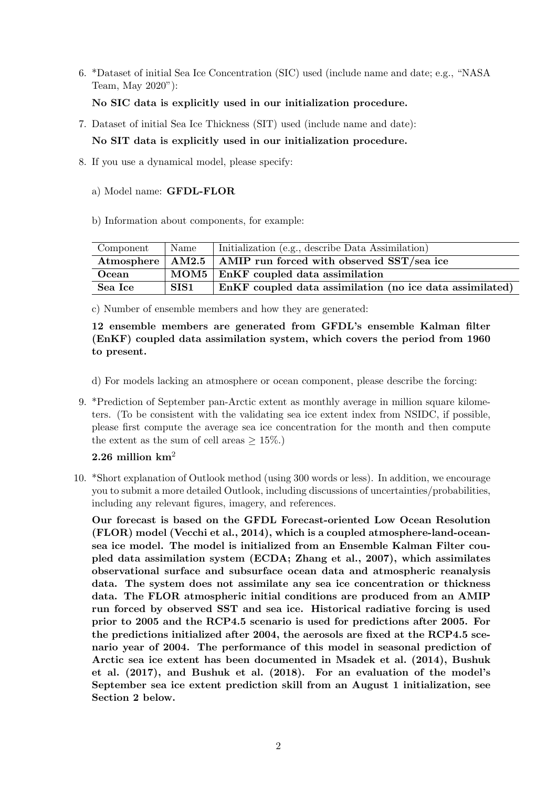6. \*Dataset of initial Sea Ice Concentration (SIC) used (include name and date; e.g., "NASA Team, May 2020"):

### No SIC data is explicitly used in our initialization procedure.

- 7. Dataset of initial Sea Ice Thickness (SIT) used (include name and date): No SIT data is explicitly used in our initialization procedure.
- 8. If you use a dynamical model, please specify:
	- a) Model name: GFDL-FLOR
	- b) Information about components, for example:

| Component | Name | Initialization (e.g., describe Data Assimilation)                          |
|-----------|------|----------------------------------------------------------------------------|
|           |      | Atmosphere $\vert$ AM2.5 $\vert$ AMIP run forced with observed SST/sea ice |
| Ocean     |      | $MOM5$ EnKF coupled data assimilation                                      |
| Sea Ice   | SIS1 | EnKF coupled data assimilation (no ice data assimilated)                   |

c) Number of ensemble members and how they are generated:

12 ensemble members are generated from GFDL's ensemble Kalman filter (EnKF) coupled data assimilation system, which covers the period from 1960 to present.

- d) For models lacking an atmosphere or ocean component, please describe the forcing:
- 9. \*Prediction of September pan-Arctic extent as monthly average in million square kilometers. (To be consistent with the validating sea ice extent index from NSIDC, if possible, please first compute the average sea ice concentration for the month and then compute the extent as the sum of cell areas  $\geq 15\%$ .

## 2.26 million  $km^2$

10. \*Short explanation of Outlook method (using 300 words or less). In addition, we encourage you to submit a more detailed Outlook, including discussions of uncertainties/probabilities, including any relevant figures, imagery, and references.

Our forecast is based on the GFDL Forecast-oriented Low Ocean Resolution (FLOR) model (Vecchi et al., 2014), which is a coupled atmosphere-land-oceansea ice model. The model is initialized from an Ensemble Kalman Filter coupled data assimilation system (ECDA; Zhang et al., 2007), which assimilates observational surface and subsurface ocean data and atmospheric reanalysis data. The system does not assimilate any sea ice concentration or thickness data. The FLOR atmospheric initial conditions are produced from an AMIP run forced by observed SST and sea ice. Historical radiative forcing is used prior to 2005 and the RCP4.5 scenario is used for predictions after 2005. For the predictions initialized after 2004, the aerosols are fixed at the RCP4.5 scenario year of 2004. The performance of this model in seasonal prediction of Arctic sea ice extent has been documented in Msadek et al. (2014), Bushuk et al. (2017), and Bushuk et al. (2018). For an evaluation of the model's September sea ice extent prediction skill from an August 1 initialization, see Section 2 below.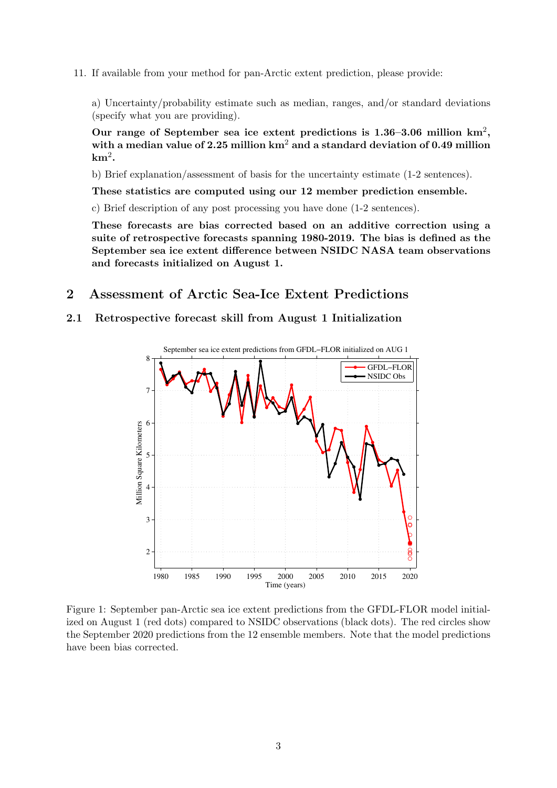11. If available from your method for pan-Arctic extent prediction, please provide:

a) Uncertainty/probability estimate such as median, ranges, and/or standard deviations (specify what you are providing).

Our range of September sea ice extent predictions is  $1.36-3.06$  million km<sup>2</sup>, with a median value of 2.25 million  $km^2$  and a standard deviation of 0.49 million  $\mathrm{km}^2.$ 

b) Brief explanation/assessment of basis for the uncertainty estimate (1-2 sentences).

These statistics are computed using our 12 member prediction ensemble.

c) Brief description of any post processing you have done (1-2 sentences).

These forecasts are bias corrected based on an additive correction using a suite of retrospective forecasts spanning 1980-2019. The bias is defined as the September sea ice extent difference between NSIDC NASA team observations and forecasts initialized on August 1.

## 2 Assessment of Arctic Sea-Ice Extent Predictions

#### 2.1 Retrospective forecast skill from August 1 Initialization



Figure 1: September pan-Arctic sea ice extent predictions from the GFDL-FLOR model initialized on August 1 (red dots) compared to NSIDC observations (black dots). The red circles show the September 2020 predictions from the 12 ensemble members. Note that the model predictions have been bias corrected.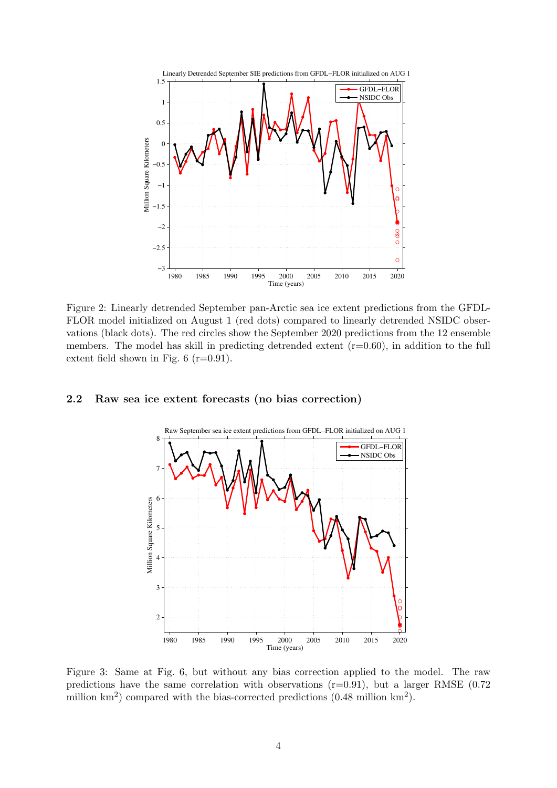

Figure 2: Linearly detrended September pan-Arctic sea ice extent predictions from the GFDL-FLOR model initialized on August 1 (red dots) compared to linearly detrended NSIDC observations (black dots). The red circles show the September 2020 predictions from the 12 ensemble members. The model has skill in predicting detrended extent  $(r=0.60)$ , in addition to the full extent field shown in Fig.  $6$  (r=0.91).

#### 2.2 Raw sea ice extent forecasts (no bias correction)



Figure 3: Same at Fig. 6, but without any bias correction applied to the model. The raw predictions have the same correlation with observations  $(r=0.91)$ , but a larger RMSE  $(0.72)$ million  $\text{km}^2$ ) compared with the bias-corrected predictions (0.48 million  $\text{km}^2$ ).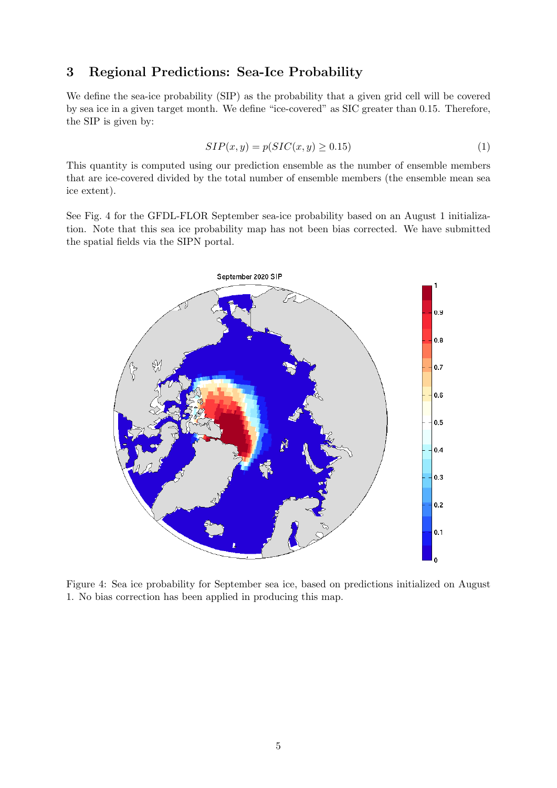## 3 Regional Predictions: Sea-Ice Probability

We define the sea-ice probability (SIP) as the probability that a given grid cell will be covered by sea ice in a given target month. We define "ice-covered" as SIC greater than 0.15. Therefore, the SIP is given by:

$$
SIP(x, y) = p(SIC(x, y) \ge 0.15)
$$
\n<sup>(1)</sup>

This quantity is computed using our prediction ensemble as the number of ensemble members that are ice-covered divided by the total number of ensemble members (the ensemble mean sea ice extent).

See Fig. 4 for the GFDL-FLOR September sea-ice probability based on an August 1 initialization. Note that this sea ice probability map has not been bias corrected. We have submitted the spatial fields via the SIPN portal.



Figure 4: Sea ice probability for September sea ice, based on predictions initialized on August 1. No bias correction has been applied in producing this map.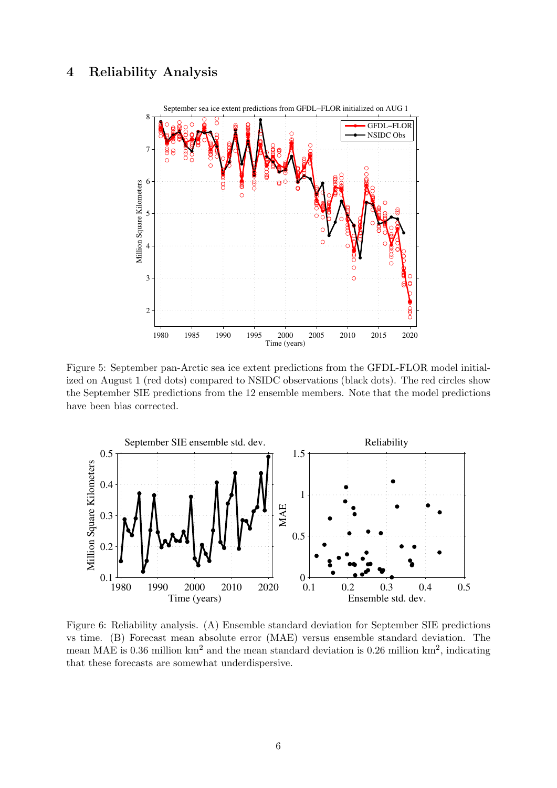## 4 Reliability Analysis



Figure 5: September pan-Arctic sea ice extent predictions from the GFDL-FLOR model initialized on August 1 (red dots) compared to NSIDC observations (black dots). The red circles show the September SIE predictions from the 12 ensemble members. Note that the model predictions have been bias corrected.



Figure 6: Reliability analysis. (A) Ensemble standard deviation for September SIE predictions vs time. (B) Forecast mean absolute error (MAE) versus ensemble standard deviation. The mean MAE is 0.36 million  $km^2$  and the mean standard deviation is 0.26 million  $km^2$ , indicating that these forecasts are somewhat underdispersive.